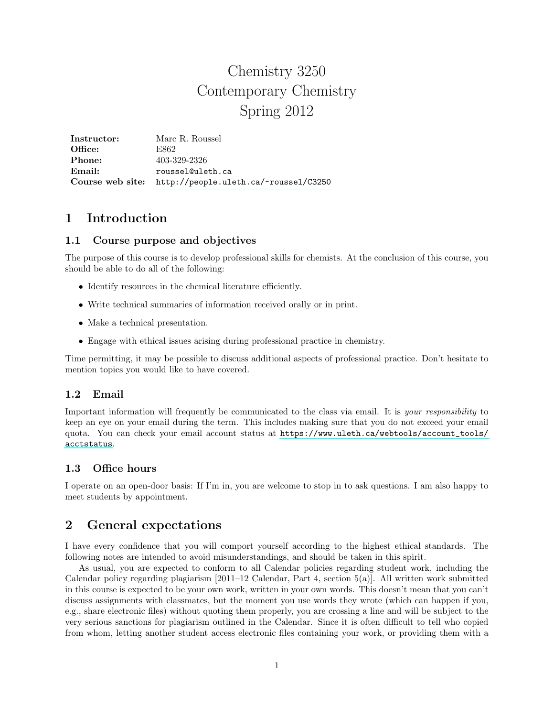# Chemistry 3250 Contemporary Chemistry Spring 2012

Instructor: Marc R. Roussel Office: E862 **Phone:** 403-329-2326 Email: roussel@uleth.ca Course web site: <http://people.uleth.ca/~roussel/C3250>

# 1 Introduction

### 1.1 Course purpose and objectives

The purpose of this course is to develop professional skills for chemists. At the conclusion of this course, you should be able to do all of the following:

- Identify resources in the chemical literature efficiently.
- Write technical summaries of information received orally or in print.
- Make a technical presentation.
- Engage with ethical issues arising during professional practice in chemistry.

Time permitting, it may be possible to discuss additional aspects of professional practice. Don't hesitate to mention topics you would like to have covered.

## 1.2 Email

Important information will frequently be communicated to the class via email. It is your responsibility to keep an eye on your email during the term. This includes making sure that you do not exceed your email quota. You can check your email account status at [https://www.uleth.ca/webtools/account\\_tools/](https://www.uleth.ca/webtools/account_tools/acctstatus) [acctstatus](https://www.uleth.ca/webtools/account_tools/acctstatus).

## 1.3 Office hours

I operate on an open-door basis: If I'm in, you are welcome to stop in to ask questions. I am also happy to meet students by appointment.

# 2 General expectations

I have every confidence that you will comport yourself according to the highest ethical standards. The following notes are intended to avoid misunderstandings, and should be taken in this spirit.

As usual, you are expected to conform to all Calendar policies regarding student work, including the Calendar policy regarding plagiarism  $[2011-12$  Calendar, Part 4, section  $5(a)$ . All written work submitted in this course is expected to be your own work, written in your own words. This doesn't mean that you can't discuss assignments with classmates, but the moment you use words they wrote (which can happen if you, e.g., share electronic files) without quoting them properly, you are crossing a line and will be subject to the very serious sanctions for plagiarism outlined in the Calendar. Since it is often difficult to tell who copied from whom, letting another student access electronic files containing your work, or providing them with a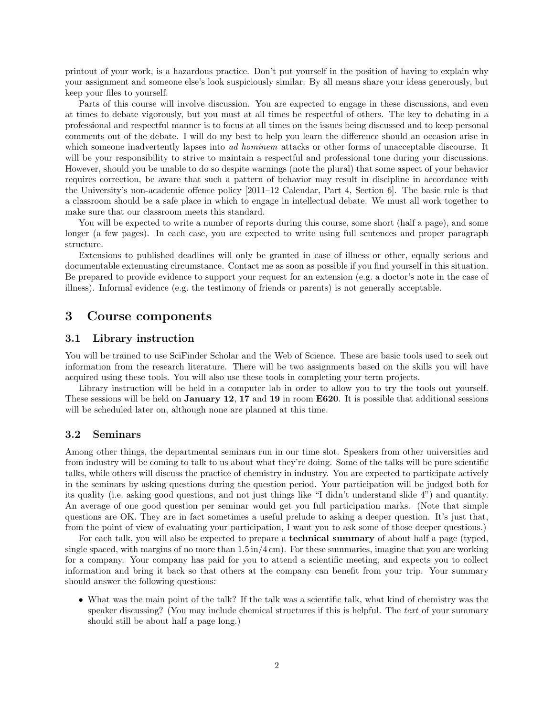printout of your work, is a hazardous practice. Don't put yourself in the position of having to explain why your assignment and someone else's look suspiciously similar. By all means share your ideas generously, but keep your files to yourself.

Parts of this course will involve discussion. You are expected to engage in these discussions, and even at times to debate vigorously, but you must at all times be respectful of others. The key to debating in a professional and respectful manner is to focus at all times on the issues being discussed and to keep personal comments out of the debate. I will do my best to help you learn the difference should an occasion arise in which someone inadvertently lapses into *ad hominem* attacks or other forms of unacceptable discourse. It will be your responsibility to strive to maintain a respectful and professional tone during your discussions. However, should you be unable to do so despite warnings (note the plural) that some aspect of your behavior requires correction, be aware that such a pattern of behavior may result in discipline in accordance with the University's non-academic offence policy [2011–12 Calendar, Part 4, Section 6]. The basic rule is that a classroom should be a safe place in which to engage in intellectual debate. We must all work together to make sure that our classroom meets this standard.

You will be expected to write a number of reports during this course, some short (half a page), and some longer (a few pages). In each case, you are expected to write using full sentences and proper paragraph structure.

Extensions to published deadlines will only be granted in case of illness or other, equally serious and documentable extenuating circumstance. Contact me as soon as possible if you find yourself in this situation. Be prepared to provide evidence to support your request for an extension (e.g. a doctor's note in the case of illness). Informal evidence (e.g. the testimony of friends or parents) is not generally acceptable.

# 3 Course components

#### 3.1 Library instruction

You will be trained to use SciFinder Scholar and the Web of Science. These are basic tools used to seek out information from the research literature. There will be two assignments based on the skills you will have acquired using these tools. You will also use these tools in completing your term projects.

Library instruction will be held in a computer lab in order to allow you to try the tools out yourself. These sessions will be held on **January 12, 17** and 19 in room **E620**. It is possible that additional sessions will be scheduled later on, although none are planned at this time.

#### 3.2 Seminars

Among other things, the departmental seminars run in our time slot. Speakers from other universities and from industry will be coming to talk to us about what they're doing. Some of the talks will be pure scientific talks, while others will discuss the practice of chemistry in industry. You are expected to participate actively in the seminars by asking questions during the question period. Your participation will be judged both for its quality (i.e. asking good questions, and not just things like "I didn't understand slide 4") and quantity. An average of one good question per seminar would get you full participation marks. (Note that simple questions are OK. They are in fact sometimes a useful prelude to asking a deeper question. It's just that, from the point of view of evaluating your participation, I want you to ask some of those deeper questions.)

For each talk, you will also be expected to prepare a technical summary of about half a page (typed, single spaced, with margins of no more than  $1.5 \text{ in} / 4 \text{ cm}$ . For these summaries, imagine that you are working for a company. Your company has paid for you to attend a scientific meeting, and expects you to collect information and bring it back so that others at the company can benefit from your trip. Your summary should answer the following questions:

• What was the main point of the talk? If the talk was a scientific talk, what kind of chemistry was the speaker discussing? (You may include chemical structures if this is helpful. The text of your summary should still be about half a page long.)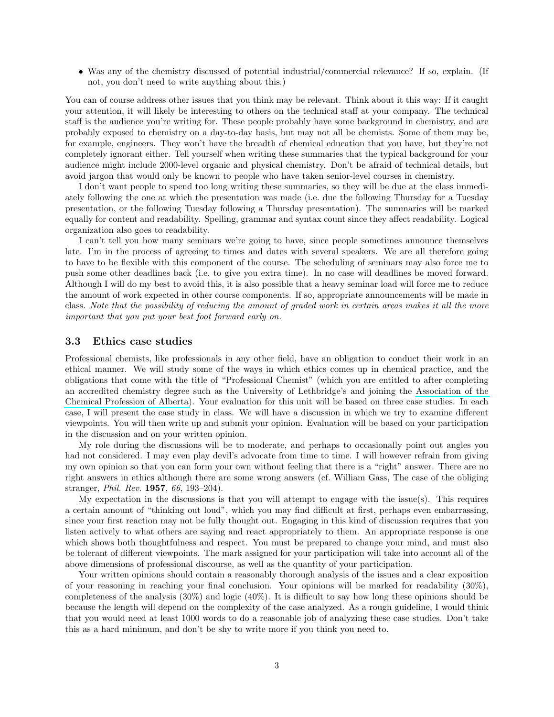• Was any of the chemistry discussed of potential industrial/commercial relevance? If so, explain. (If not, you don't need to write anything about this.)

You can of course address other issues that you think may be relevant. Think about it this way: If it caught your attention, it will likely be interesting to others on the technical staff at your company. The technical staff is the audience you're writing for. These people probably have some background in chemistry, and are probably exposed to chemistry on a day-to-day basis, but may not all be chemists. Some of them may be, for example, engineers. They won't have the breadth of chemical education that you have, but they're not completely ignorant either. Tell yourself when writing these summaries that the typical background for your audience might include 2000-level organic and physical chemistry. Don't be afraid of technical details, but avoid jargon that would only be known to people who have taken senior-level courses in chemistry.

I don't want people to spend too long writing these summaries, so they will be due at the class immediately following the one at which the presentation was made (i.e. due the following Thursday for a Tuesday presentation, or the following Tuesday following a Thursday presentation). The summaries will be marked equally for content and readability. Spelling, grammar and syntax count since they affect readability. Logical organization also goes to readability.

I can't tell you how many seminars we're going to have, since people sometimes announce themselves late. I'm in the process of agreeing to times and dates with several speakers. We are all therefore going to have to be flexible with this component of the course. The scheduling of seminars may also force me to push some other deadlines back (i.e. to give you extra time). In no case will deadlines be moved forward. Although I will do my best to avoid this, it is also possible that a heavy seminar load will force me to reduce the amount of work expected in other course components. If so, appropriate announcements will be made in class. Note that the possibility of reducing the amount of graded work in certain areas makes it all the more important that you put your best foot forward early on.

#### 3.3 Ethics case studies

Professional chemists, like professionals in any other field, have an obligation to conduct their work in an ethical manner. We will study some of the ways in which ethics comes up in chemical practice, and the obligations that come with the title of "Professional Chemist" (which you are entitled to after completing an accredited chemistry degree such as the University of Lethbridge's and joining the [Association of the](http://www.pchem.ca) [Chemical Profession of Alberta\)](http://www.pchem.ca). Your evaluation for this unit will be based on three case studies. In each case, I will present the case study in class. We will have a discussion in which we try to examine different viewpoints. You will then write up and submit your opinion. Evaluation will be based on your participation in the discussion and on your written opinion.

My role during the discussions will be to moderate, and perhaps to occasionally point out angles you had not considered. I may even play devil's advocate from time to time. I will however refrain from giving my own opinion so that you can form your own without feeling that there is a "right" answer. There are no right answers in ethics although there are some wrong answers (cf. William Gass, The case of the obliging stranger, Phil. Rev. 1957, 66, 193–204).

My expectation in the discussions is that you will attempt to engage with the issue(s). This requires a certain amount of "thinking out loud", which you may find difficult at first, perhaps even embarrassing, since your first reaction may not be fully thought out. Engaging in this kind of discussion requires that you listen actively to what others are saying and react appropriately to them. An appropriate response is one which shows both thoughtfulness and respect. You must be prepared to change your mind, and must also be tolerant of different viewpoints. The mark assigned for your participation will take into account all of the above dimensions of professional discourse, as well as the quantity of your participation.

Your written opinions should contain a reasonably thorough analysis of the issues and a clear exposition of your reasoning in reaching your final conclusion. Your opinions will be marked for readability (30%), completeness of the analysis (30%) and logic (40%). It is difficult to say how long these opinions should be because the length will depend on the complexity of the case analyzed. As a rough guideline, I would think that you would need at least 1000 words to do a reasonable job of analyzing these case studies. Don't take this as a hard minimum, and don't be shy to write more if you think you need to.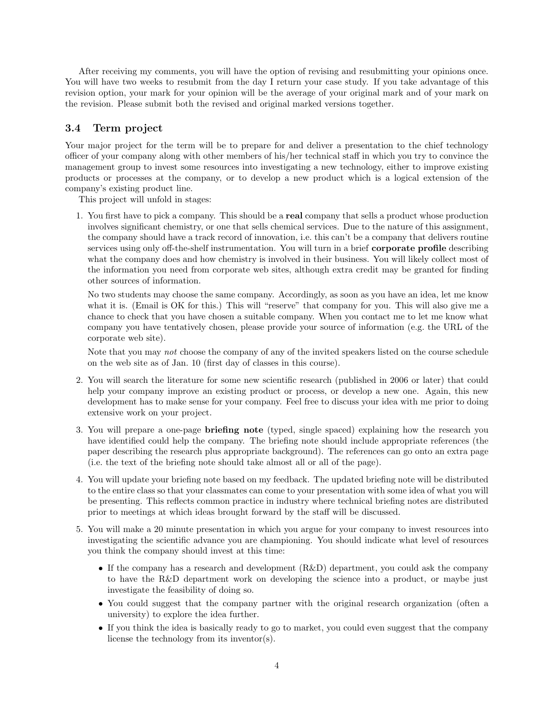After receiving my comments, you will have the option of revising and resubmitting your opinions once. You will have two weeks to resubmit from the day I return your case study. If you take advantage of this revision option, your mark for your opinion will be the average of your original mark and of your mark on the revision. Please submit both the revised and original marked versions together.

### 3.4 Term project

Your major project for the term will be to prepare for and deliver a presentation to the chief technology officer of your company along with other members of his/her technical staff in which you try to convince the management group to invest some resources into investigating a new technology, either to improve existing products or processes at the company, or to develop a new product which is a logical extension of the company's existing product line.

This project will unfold in stages:

1. You first have to pick a company. This should be a real company that sells a product whose production involves significant chemistry, or one that sells chemical services. Due to the nature of this assignment, the company should have a track record of innovation, i.e. this can't be a company that delivers routine services using only off-the-shelf instrumentation. You will turn in a brief corporate profile describing what the company does and how chemistry is involved in their business. You will likely collect most of the information you need from corporate web sites, although extra credit may be granted for finding other sources of information.

No two students may choose the same company. Accordingly, as soon as you have an idea, let me know what it is. (Email is OK for this.) This will "reserve" that company for you. This will also give me a chance to check that you have chosen a suitable company. When you contact me to let me know what company you have tentatively chosen, please provide your source of information (e.g. the URL of the corporate web site).

Note that you may not choose the company of any of the invited speakers listed on the course schedule on the web site as of Jan. 10 (first day of classes in this course).

- 2. You will search the literature for some new scientific research (published in 2006 or later) that could help your company improve an existing product or process, or develop a new one. Again, this new development has to make sense for your company. Feel free to discuss your idea with me prior to doing extensive work on your project.
- 3. You will prepare a one-page briefing note (typed, single spaced) explaining how the research you have identified could help the company. The briefing note should include appropriate references (the paper describing the research plus appropriate background). The references can go onto an extra page (i.e. the text of the briefing note should take almost all or all of the page).
- 4. You will update your briefing note based on my feedback. The updated briefing note will be distributed to the entire class so that your classmates can come to your presentation with some idea of what you will be presenting. This reflects common practice in industry where technical briefing notes are distributed prior to meetings at which ideas brought forward by the staff will be discussed.
- 5. You will make a 20 minute presentation in which you argue for your company to invest resources into investigating the scientific advance you are championing. You should indicate what level of resources you think the company should invest at this time:
	- If the company has a research and development (R&D) department, you could ask the company to have the R&D department work on developing the science into a product, or maybe just investigate the feasibility of doing so.
	- You could suggest that the company partner with the original research organization (often a university) to explore the idea further.
	- If you think the idea is basically ready to go to market, you could even suggest that the company license the technology from its inventor(s).